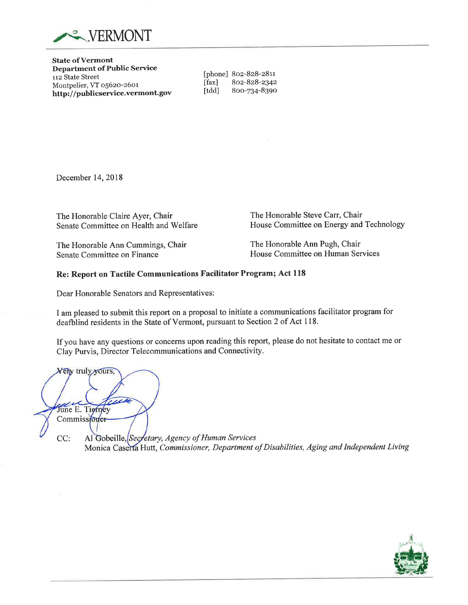

**State of Vermont** Department of Public Service 112 State Street Montpelier, VT 05620-2601 http://publicservice.vermont.gov

[phone] 802-828-2811<br>[fax] 802-828-2342 [fax] 802-828-2342<br>[tdd] 800-734-8390 [tdd] 8oo-7g+-839o

December 14,2018

The Honorable Claire Ayer, Chair Senate Committee on Health and Welfare The Honorable Steve Carr, Chair House Committee on Energy and Technology

The Honorable Ann Cummings, Chair Senate Committee on Finance

The Honorable Ann Pugh, Chair House Commiffee on Human Services

# Re: Report on Tactile Communications Facilitator Program; Act 118

Dear Honorable Senators and Representatives:

I am pleased to submit this report on a proposal to initiate a communications facilitator program for deafblind residents in the State of Vermont, pursuant to Section 2 of Act 118.

If you have any questions or concerns upon reading this report, please do not hesitate to contact me or Clay Purvis, Director Telecommunications and Connectivity.

Very truly yours, June E. Tierney Commissioner

CC: Al Gobeille, Secretary, Agency of Human Services Monica Caserta Hutt, Commissioner, Department of Disabilities, Aging and Independent Living

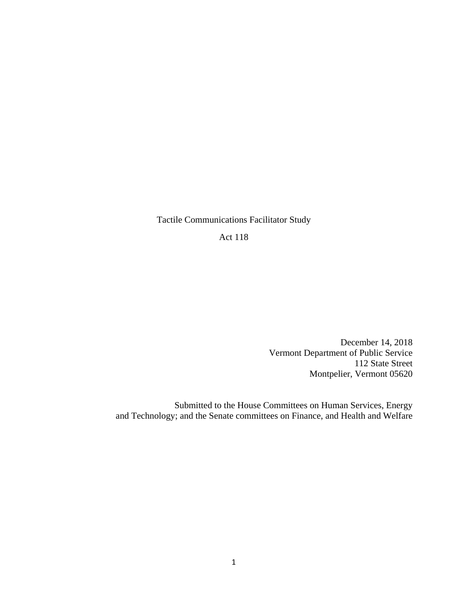Tactile Communications Facilitator Study

Act 118

December 14, 2018 Vermont Department of Public Service 112 State Street Montpelier, Vermont 05620

Submitted to the House Committees on Human Services, Energy and Technology; and the Senate committees on Finance, and Health and Welfare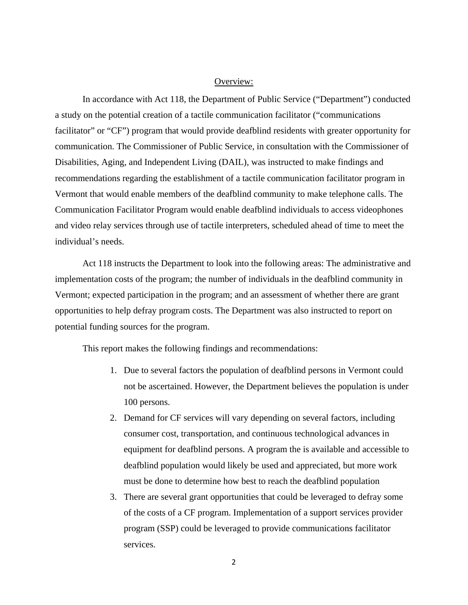## Overview:

In accordance with Act 118, the Department of Public Service ("Department") conducted a study on the potential creation of a tactile communication facilitator ("communications facilitator" or "CF") program that would provide deafblind residents with greater opportunity for communication. The Commissioner of Public Service, in consultation with the Commissioner of Disabilities, Aging, and Independent Living (DAIL), was instructed to make findings and recommendations regarding the establishment of a tactile communication facilitator program in Vermont that would enable members of the deafblind community to make telephone calls. The Communication Facilitator Program would enable deafblind individuals to access videophones and video relay services through use of tactile interpreters, scheduled ahead of time to meet the individual's needs.

Act 118 instructs the Department to look into the following areas: The administrative and implementation costs of the program; the number of individuals in the deafblind community in Vermont; expected participation in the program; and an assessment of whether there are grant opportunities to help defray program costs. The Department was also instructed to report on potential funding sources for the program.

This report makes the following findings and recommendations:

- 1. Due to several factors the population of deafblind persons in Vermont could not be ascertained. However, the Department believes the population is under 100 persons.
- 2. Demand for CF services will vary depending on several factors, including consumer cost, transportation, and continuous technological advances in equipment for deafblind persons. A program the is available and accessible to deafblind population would likely be used and appreciated, but more work must be done to determine how best to reach the deafblind population
- 3. There are several grant opportunities that could be leveraged to defray some of the costs of a CF program. Implementation of a support services provider program (SSP) could be leveraged to provide communications facilitator services.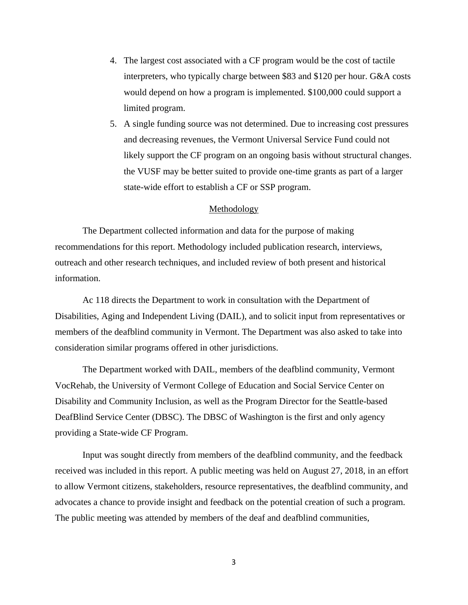- 4. The largest cost associated with a CF program would be the cost of tactile interpreters, who typically charge between \$83 and \$120 per hour. G&A costs would depend on how a program is implemented. \$100,000 could support a limited program.
- 5. A single funding source was not determined. Due to increasing cost pressures and decreasing revenues, the Vermont Universal Service Fund could not likely support the CF program on an ongoing basis without structural changes. the VUSF may be better suited to provide one-time grants as part of a larger state-wide effort to establish a CF or SSP program.

#### Methodology

The Department collected information and data for the purpose of making recommendations for this report. Methodology included publication research, interviews, outreach and other research techniques, and included review of both present and historical information.

Ac 118 directs the Department to work in consultation with the Department of Disabilities, Aging and Independent Living (DAIL), and to solicit input from representatives or members of the deafblind community in Vermont. The Department was also asked to take into consideration similar programs offered in other jurisdictions.

The Department worked with DAIL, members of the deafblind community, Vermont VocRehab, the University of Vermont College of Education and Social Service Center on Disability and Community Inclusion, as well as the Program Director for the Seattle-based DeafBlind Service Center (DBSC). The DBSC of Washington is the first and only agency providing a State-wide CF Program.

Input was sought directly from members of the deafblind community, and the feedback received was included in this report. A public meeting was held on August 27, 2018, in an effort to allow Vermont citizens, stakeholders, resource representatives, the deafblind community, and advocates a chance to provide insight and feedback on the potential creation of such a program. The public meeting was attended by members of the deaf and deafblind communities,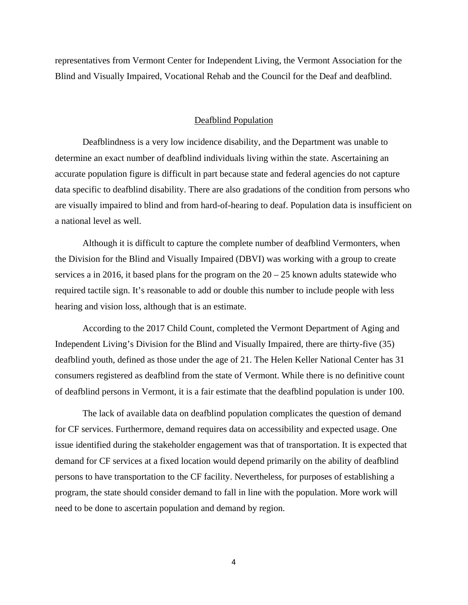representatives from Vermont Center for Independent Living, the Vermont Association for the Blind and Visually Impaired, Vocational Rehab and the Council for the Deaf and deafblind.

## Deafblind Population

Deafblindness is a very low incidence disability, and the Department was unable to determine an exact number of deafblind individuals living within the state. Ascertaining an accurate population figure is difficult in part because state and federal agencies do not capture data specific to deafblind disability. There are also gradations of the condition from persons who are visually impaired to blind and from hard-of-hearing to deaf. Population data is insufficient on a national level as well.

Although it is difficult to capture the complete number of deafblind Vermonters, when the Division for the Blind and Visually Impaired (DBVI) was working with a group to create services a in 2016, it based plans for the program on the  $20 - 25$  known adults statewide who required tactile sign. It's reasonable to add or double this number to include people with less hearing and vision loss, although that is an estimate.

According to the 2017 Child Count, completed the Vermont Department of Aging and Independent Living's Division for the Blind and Visually Impaired, there are thirty-five (35) deafblind youth, defined as those under the age of 21. The Helen Keller National Center has 31 consumers registered as deafblind from the state of Vermont. While there is no definitive count of deafblind persons in Vermont, it is a fair estimate that the deafblind population is under 100.

The lack of available data on deafblind population complicates the question of demand for CF services. Furthermore, demand requires data on accessibility and expected usage. One issue identified during the stakeholder engagement was that of transportation. It is expected that demand for CF services at a fixed location would depend primarily on the ability of deafblind persons to have transportation to the CF facility. Nevertheless, for purposes of establishing a program, the state should consider demand to fall in line with the population. More work will need to be done to ascertain population and demand by region.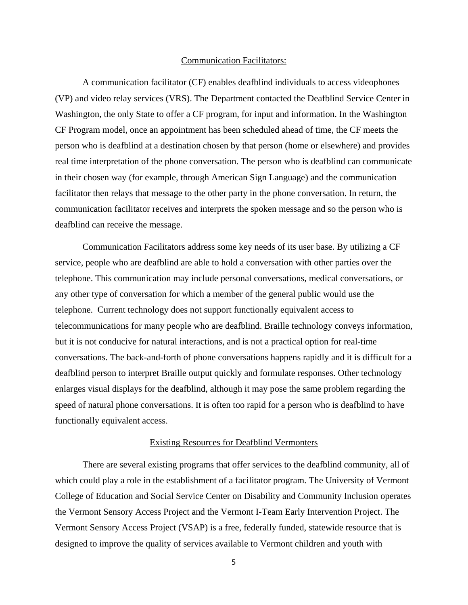#### Communication Facilitators:

A communication facilitator (CF) enables deafblind individuals to access videophones (VP) and video relay services (VRS). The Department contacted the Deafblind Service Center in Washington, the only State to offer a CF program, for input and information. In the Washington CF Program model, once an appointment has been scheduled ahead of time, the CF meets the person who is deafblind at a destination chosen by that person (home or elsewhere) and provides real time interpretation of the phone conversation. The person who is deafblind can communicate in their chosen way (for example, through American Sign Language) and the communication facilitator then relays that message to the other party in the phone conversation. In return, the communication facilitator receives and interprets the spoken message and so the person who is deafblind can receive the message.

Communication Facilitators address some key needs of its user base. By utilizing a CF service, people who are deafblind are able to hold a conversation with other parties over the telephone. This communication may include personal conversations, medical conversations, or any other type of conversation for which a member of the general public would use the telephone. Current technology does not support functionally equivalent access to telecommunications for many people who are deafblind. Braille technology conveys information, but it is not conducive for natural interactions, and is not a practical option for real-time conversations. The back-and-forth of phone conversations happens rapidly and it is difficult for a deafblind person to interpret Braille output quickly and formulate responses. Other technology enlarges visual displays for the deafblind, although it may pose the same problem regarding the speed of natural phone conversations. It is often too rapid for a person who is deafblind to have functionally equivalent access.

## Existing Resources for Deafblind Vermonters

There are several existing programs that offer services to the deafblind community, all of which could play a role in the establishment of a facilitator program. The University of Vermont College of Education and Social Service Center on Disability and Community Inclusion operates the Vermont Sensory Access Project and the Vermont I-Team Early Intervention Project. The Vermont Sensory Access Project (VSAP) is a free, federally funded, statewide resource that is designed to improve the quality of services available to Vermont children and youth with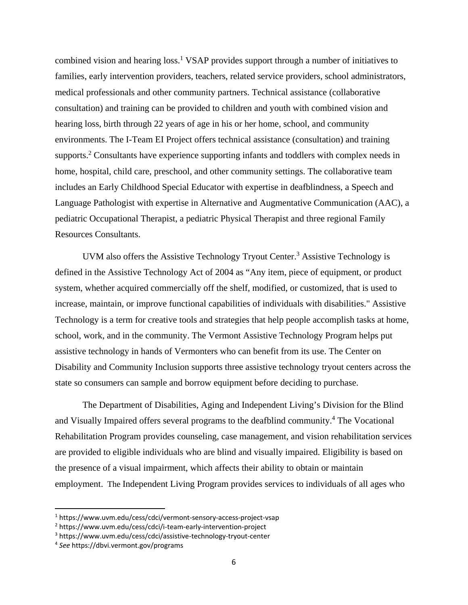combined vision and hearing loss.<sup>1</sup> VSAP provides support through a number of initiatives to families, early intervention providers, teachers, related service providers, school administrators, medical professionals and other community partners. Technical assistance (collaborative consultation) and training can be provided to children and youth with combined vision and hearing loss, birth through 22 years of age in his or her home, school, and community environments. The I-Team EI Project offers technical assistance (consultation) and training supports.<sup>2</sup> Consultants have experience supporting infants and toddlers with complex needs in home, hospital, child care, preschool, and other community settings. The collaborative team includes an Early Childhood Special Educator with expertise in deafblindness, a Speech and Language Pathologist with expertise in Alternative and Augmentative Communication (AAC), a pediatric Occupational Therapist, a pediatric Physical Therapist and three regional Family Resources Consultants.

UVM also offers the Assistive Technology Tryout Center.<sup>3</sup> Assistive Technology is defined in the Assistive Technology Act of 2004 as "Any item, piece of equipment, or product system, whether acquired commercially off the shelf, modified, or customized, that is used to increase, maintain, or improve functional capabilities of individuals with disabilities." Assistive Technology is a term for creative tools and strategies that help people accomplish tasks at home, school, work, and in the community. The Vermont Assistive Technology Program helps put assistive technology in hands of Vermonters who can benefit from its use. The Center on Disability and Community Inclusion supports three assistive technology tryout centers across the state so consumers can sample and borrow equipment before deciding to purchase.

The Department of Disabilities, Aging and Independent Living's Division for the Blind and Visually Impaired offers several programs to the deafblind community.<sup>4</sup> The Vocational Rehabilitation Program provides counseling, case management, and vision rehabilitation services are provided to eligible individuals who are blind and visually impaired. Eligibility is based on the presence of a visual impairment, which affects their ability to obtain or maintain employment. The Independent Living Program provides services to individuals of all ages who

<sup>1</sup> https://www.uvm.edu/cess/cdci/vermont‐sensory‐access‐project‐vsap

<sup>&</sup>lt;sup>2</sup> https://www.uvm.edu/cess/cdci/i-team-early-intervention-project

<sup>3</sup> https://www.uvm.edu/cess/cdci/assistive‐technology‐tryout‐center

<sup>4</sup> *See* https://dbvi.vermont.gov/programs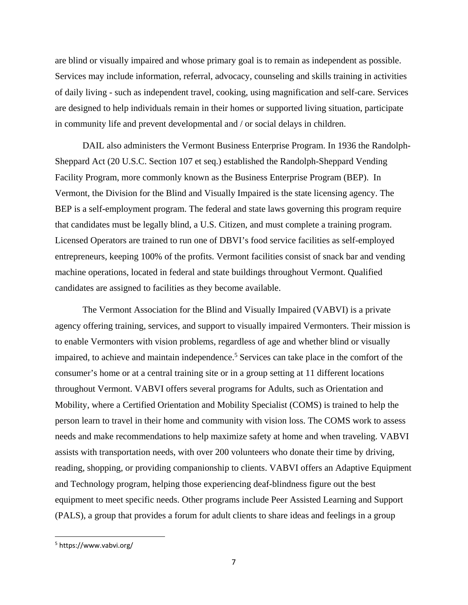are blind or visually impaired and whose primary goal is to remain as independent as possible. Services may include information, referral, advocacy, counseling and skills training in activities of daily living - such as independent travel, cooking, using magnification and self-care. Services are designed to help individuals remain in their homes or supported living situation, participate in community life and prevent developmental and / or social delays in children.

DAIL also administers the Vermont Business Enterprise Program. In 1936 the Randolph-Sheppard Act (20 U.S.C. Section 107 et seq.) established the Randolph-Sheppard Vending Facility Program, more commonly known as the Business Enterprise Program (BEP). In Vermont, the Division for the Blind and Visually Impaired is the state licensing agency. The BEP is a self-employment program. The federal and state laws governing this program require that candidates must be legally blind, a U.S. Citizen, and must complete a training program. Licensed Operators are trained to run one of DBVI's food service facilities as self-employed entrepreneurs, keeping 100% of the profits. Vermont facilities consist of snack bar and vending machine operations, located in federal and state buildings throughout Vermont. Qualified candidates are assigned to facilities as they become available.

The Vermont Association for the Blind and Visually Impaired (VABVI) is a private agency offering training, services, and support to visually impaired Vermonters. Their mission is to enable Vermonters with vision problems, regardless of age and whether blind or visually impaired, to achieve and maintain independence.<sup>5</sup> Services can take place in the comfort of the consumer's home or at a central training site or in a group setting at 11 different locations throughout Vermont. VABVI offers several programs for Adults, such as Orientation and Mobility, where a Certified Orientation and Mobility Specialist (COMS) is trained to help the person learn to travel in their home and community with vision loss. The COMS work to assess needs and make recommendations to help maximize safety at home and when traveling. VABVI assists with transportation needs, with over 200 volunteers who donate their time by driving, reading, shopping, or providing companionship to clients. VABVI offers an Adaptive Equipment and Technology program, helping those experiencing deaf-blindness figure out the best equipment to meet specific needs. Other programs include Peer Assisted Learning and Support (PALS), a group that provides a forum for adult clients to share ideas and feelings in a group

<sup>5</sup> https://www.vabvi.org/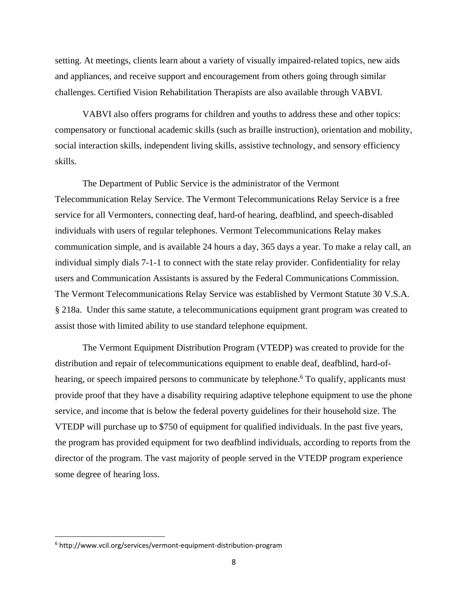setting. At meetings, clients learn about a variety of visually impaired-related topics, new aids and appliances, and receive support and encouragement from others going through similar challenges. Certified Vision Rehabilitation Therapists are also available through VABVI.

VABVI also offers programs for children and youths to address these and other topics: compensatory or functional academic skills (such as braille instruction), orientation and mobility, social interaction skills, independent living skills, assistive technology, and sensory efficiency skills.

 The Department of Public Service is the administrator of the Vermont Telecommunication Relay Service. The Vermont Telecommunications Relay Service is a free service for all Vermonters, connecting deaf, hard-of hearing, deafblind, and speech-disabled individuals with users of regular telephones. Vermont Telecommunications Relay makes communication simple, and is available 24 hours a day, 365 days a year. To make a relay call, an individual simply dials 7-1-1 to connect with the state relay provider. Confidentiality for relay users and Communication Assistants is assured by the Federal Communications Commission. The Vermont Telecommunications Relay Service was established by Vermont Statute 30 V.S.A. § 218a. Under this same statute, a telecommunications equipment grant program was created to assist those with limited ability to use standard telephone equipment.

The Vermont Equipment Distribution Program (VTEDP) was created to provide for the distribution and repair of telecommunications equipment to enable deaf, deafblind, hard-ofhearing, or speech impaired persons to communicate by telephone.<sup>6</sup> To qualify, applicants must provide proof that they have a disability requiring adaptive telephone equipment to use the phone service, and income that is below the federal poverty guidelines for their household size. The VTEDP will purchase up to \$750 of equipment for qualified individuals. In the past five years, the program has provided equipment for two deafblind individuals, according to reports from the director of the program. The vast majority of people served in the VTEDP program experience some degree of hearing loss.

<sup>6</sup> http://www.vcil.org/services/vermont‐equipment‐distribution‐program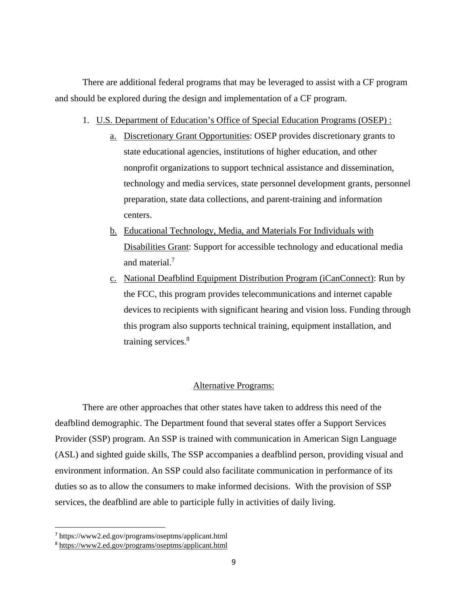There are additional federal programs that may be leveraged to assist with a CF program and should be explored during the design and implementation of a CF program.

- 1. U.S. Department of Education's Office of Special Education Programs (OSEP) :
	- a. Discretionary Grant Opportunities: OSEP provides discretionary grants to state educational agencies, institutions of higher education, and other nonprofit organizations to support technical assistance and dissemination, technology and media services, state personnel development grants, personnel preparation, state data collections, and parent-training and information centers.
	- b. Educational Technology, Media, and Materials For Individuals with Disabilities Grant: Support for accessible technology and educational media and material.<sup>7</sup>
	- c. National Deafblind Equipment Distribution Program (iCanConnect): Run by the FCC, this program provides telecommunications and internet capable devices to recipients with significant hearing and vision loss. Funding through this program also supports technical training, equipment installation, and training services.<sup>8</sup>

# Alternative Programs:

There are other approaches that other states have taken to address this need of the deafblind demographic. The Department found that several states offer a Support Services Provider (SSP) program. An SSP is trained with communication in American Sign Language (ASL) and sighted guide skills, The SSP accompanies a deafblind person, providing visual and environment information. An SSP could also facilitate communication in performance of its duties so as to allow the consumers to make informed decisions. With the provision of SSP services, the deafblind are able to participle fully in activities of daily living.

<sup>7</sup> https://www2.ed.gov/programs/oseptms/applicant.html

<sup>8</sup> https://www2.ed.gov/programs/oseptms/applicant.html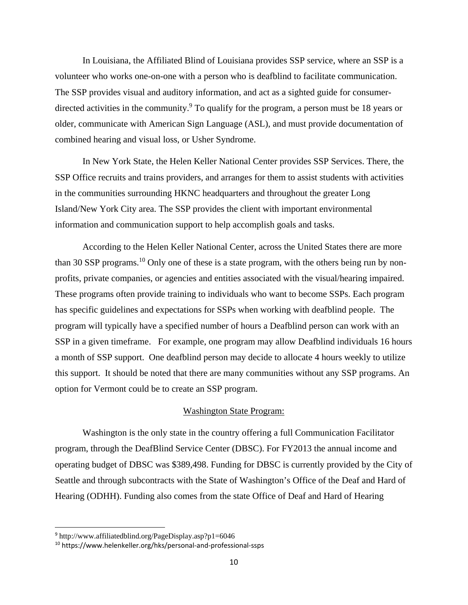In Louisiana, the Affiliated Blind of Louisiana provides SSP service, where an SSP is a volunteer who works one-on-one with a person who is deafblind to facilitate communication. The SSP provides visual and auditory information, and act as a sighted guide for consumerdirected activities in the community.<sup>9</sup> To qualify for the program, a person must be 18 years or older, communicate with American Sign Language (ASL), and must provide documentation of combined hearing and visual loss, or Usher Syndrome.

In New York State, the Helen Keller National Center provides SSP Services. There, the SSP Office recruits and trains providers, and arranges for them to assist students with activities in the communities surrounding HKNC headquarters and throughout the greater Long Island/New York City area. The SSP provides the client with important environmental information and communication support to help accomplish goals and tasks.

According to the Helen Keller National Center, across the United States there are more than 30 SSP programs.<sup>10</sup> Only one of these is a state program, with the others being run by nonprofits, private companies, or agencies and entities associated with the visual/hearing impaired. These programs often provide training to individuals who want to become SSPs. Each program has specific guidelines and expectations for SSPs when working with deafblind people. The program will typically have a specified number of hours a Deafblind person can work with an SSP in a given timeframe. For example, one program may allow Deafblind individuals 16 hours a month of SSP support. One deafblind person may decide to allocate 4 hours weekly to utilize this support. It should be noted that there are many communities without any SSP programs. An option for Vermont could be to create an SSP program.

## Washington State Program:

Washington is the only state in the country offering a full Communication Facilitator program, through the DeafBlind Service Center (DBSC). For FY2013 the annual income and operating budget of DBSC was \$389,498. Funding for DBSC is currently provided by the City of Seattle and through subcontracts with the State of Washington's Office of the Deaf and Hard of Hearing (ODHH). Funding also comes from the state Office of Deaf and Hard of Hearing

<sup>9</sup> http://www.affiliatedblind.org/PageDisplay.asp?p1=6046

<sup>10</sup> https://www.helenkeller.org/hks/personal‐and‐professional‐ssps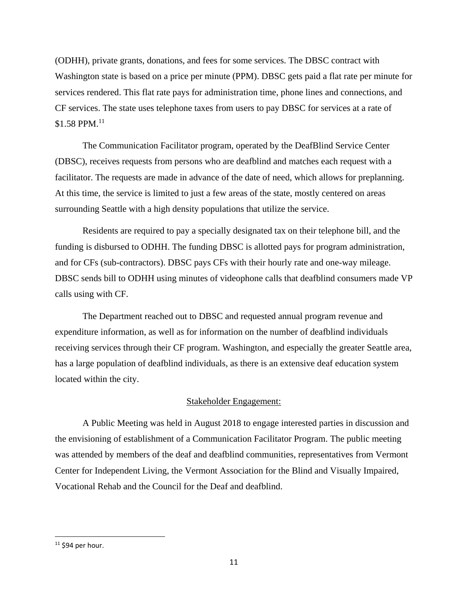(ODHH), private grants, donations, and fees for some services. The DBSC contract with Washington state is based on a price per minute (PPM). DBSC gets paid a flat rate per minute for services rendered. This flat rate pays for administration time, phone lines and connections, and CF services. The state uses telephone taxes from users to pay DBSC for services at a rate of \$1.58 PPM.<sup>11</sup>

The Communication Facilitator program, operated by the DeafBlind Service Center (DBSC), receives requests from persons who are deafblind and matches each request with a facilitator. The requests are made in advance of the date of need, which allows for preplanning. At this time, the service is limited to just a few areas of the state, mostly centered on areas surrounding Seattle with a high density populations that utilize the service.

Residents are required to pay a specially designated tax on their telephone bill, and the funding is disbursed to ODHH. The funding DBSC is allotted pays for program administration, and for CFs (sub-contractors). DBSC pays CFs with their hourly rate and one-way mileage. DBSC sends bill to ODHH using minutes of videophone calls that deafblind consumers made VP calls using with CF.

The Department reached out to DBSC and requested annual program revenue and expenditure information, as well as for information on the number of deafblind individuals receiving services through their CF program. Washington, and especially the greater Seattle area, has a large population of deafblind individuals, as there is an extensive deaf education system located within the city.

## Stakeholder Engagement:

 A Public Meeting was held in August 2018 to engage interested parties in discussion and the envisioning of establishment of a Communication Facilitator Program. The public meeting was attended by members of the deaf and deafblind communities, representatives from Vermont Center for Independent Living, the Vermont Association for the Blind and Visually Impaired, Vocational Rehab and the Council for the Deaf and deafblind.

 $11$  \$94 per hour.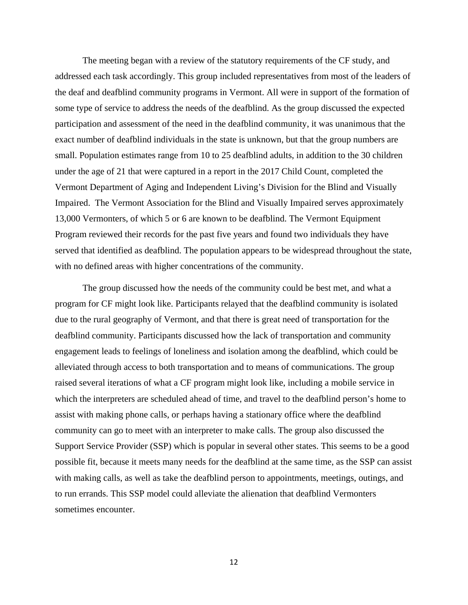The meeting began with a review of the statutory requirements of the CF study, and addressed each task accordingly. This group included representatives from most of the leaders of the deaf and deafblind community programs in Vermont. All were in support of the formation of some type of service to address the needs of the deafblind. As the group discussed the expected participation and assessment of the need in the deafblind community, it was unanimous that the exact number of deafblind individuals in the state is unknown, but that the group numbers are small. Population estimates range from 10 to 25 deafblind adults, in addition to the 30 children under the age of 21 that were captured in a report in the 2017 Child Count, completed the Vermont Department of Aging and Independent Living's Division for the Blind and Visually Impaired. The Vermont Association for the Blind and Visually Impaired serves approximately 13,000 Vermonters, of which 5 or 6 are known to be deafblind. The Vermont Equipment Program reviewed their records for the past five years and found two individuals they have served that identified as deafblind. The population appears to be widespread throughout the state, with no defined areas with higher concentrations of the community.

 The group discussed how the needs of the community could be best met, and what a program for CF might look like. Participants relayed that the deafblind community is isolated due to the rural geography of Vermont, and that there is great need of transportation for the deafblind community. Participants discussed how the lack of transportation and community engagement leads to feelings of loneliness and isolation among the deafblind, which could be alleviated through access to both transportation and to means of communications. The group raised several iterations of what a CF program might look like, including a mobile service in which the interpreters are scheduled ahead of time, and travel to the deafblind person's home to assist with making phone calls, or perhaps having a stationary office where the deafblind community can go to meet with an interpreter to make calls. The group also discussed the Support Service Provider (SSP) which is popular in several other states. This seems to be a good possible fit, because it meets many needs for the deafblind at the same time, as the SSP can assist with making calls, as well as take the deafblind person to appointments, meetings, outings, and to run errands. This SSP model could alleviate the alienation that deafblind Vermonters sometimes encounter.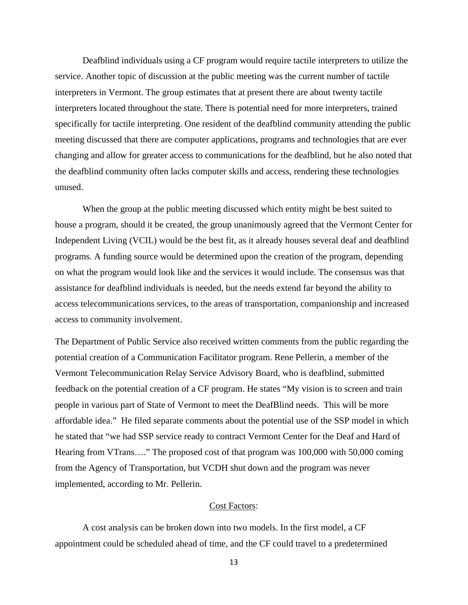Deafblind individuals using a CF program would require tactile interpreters to utilize the service. Another topic of discussion at the public meeting was the current number of tactile interpreters in Vermont. The group estimates that at present there are about twenty tactile interpreters located throughout the state. There is potential need for more interpreters, trained specifically for tactile interpreting. One resident of the deafblind community attending the public meeting discussed that there are computer applications, programs and technologies that are ever changing and allow for greater access to communications for the deafblind, but he also noted that the deafblind community often lacks computer skills and access, rendering these technologies unused.

 When the group at the public meeting discussed which entity might be best suited to house a program, should it be created, the group unanimously agreed that the Vermont Center for Independent Living (VCIL) would be the best fit, as it already houses several deaf and deafblind programs. A funding source would be determined upon the creation of the program, depending on what the program would look like and the services it would include. The consensus was that assistance for deafblind individuals is needed, but the needs extend far beyond the ability to access telecommunications services, to the areas of transportation, companionship and increased access to community involvement.

The Department of Public Service also received written comments from the public regarding the potential creation of a Communication Facilitator program. Rene Pellerin, a member of the Vermont Telecommunication Relay Service Advisory Board, who is deafblind, submitted feedback on the potential creation of a CF program. He states "My vision is to screen and train people in various part of State of Vermont to meet the DeafBlind needs. This will be more affordable idea." He filed separate comments about the potential use of the SSP model in which he stated that "we had SSP service ready to contract Vermont Center for the Deaf and Hard of Hearing from VTrans…." The proposed cost of that program was 100,000 with 50,000 coming from the Agency of Transportation, but VCDH shut down and the program was never implemented, according to Mr. Pellerin.

## Cost Factors:

A cost analysis can be broken down into two models. In the first model, a CF appointment could be scheduled ahead of time, and the CF could travel to a predetermined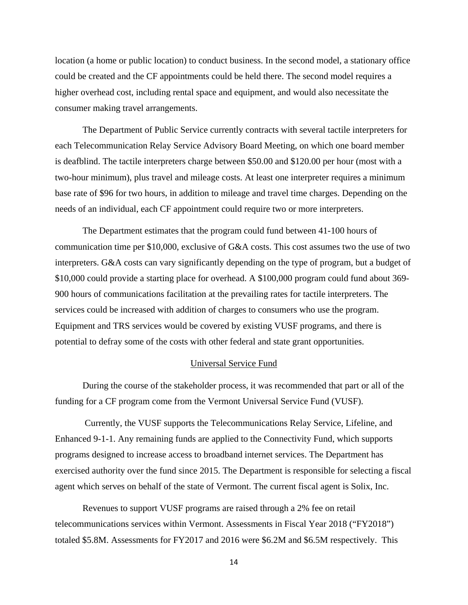location (a home or public location) to conduct business. In the second model, a stationary office could be created and the CF appointments could be held there. The second model requires a higher overhead cost, including rental space and equipment, and would also necessitate the consumer making travel arrangements.

The Department of Public Service currently contracts with several tactile interpreters for each Telecommunication Relay Service Advisory Board Meeting, on which one board member is deafblind. The tactile interpreters charge between \$50.00 and \$120.00 per hour (most with a two-hour minimum), plus travel and mileage costs. At least one interpreter requires a minimum base rate of \$96 for two hours, in addition to mileage and travel time charges. Depending on the needs of an individual, each CF appointment could require two or more interpreters.

The Department estimates that the program could fund between 41-100 hours of communication time per \$10,000, exclusive of G&A costs. This cost assumes two the use of two interpreters. G&A costs can vary significantly depending on the type of program, but a budget of \$10,000 could provide a starting place for overhead. A \$100,000 program could fund about 369- 900 hours of communications facilitation at the prevailing rates for tactile interpreters. The services could be increased with addition of charges to consumers who use the program. Equipment and TRS services would be covered by existing VUSF programs, and there is potential to defray some of the costs with other federal and state grant opportunities.

#### Universal Service Fund

 During the course of the stakeholder process, it was recommended that part or all of the funding for a CF program come from the Vermont Universal Service Fund (VUSF).

 Currently, the VUSF supports the Telecommunications Relay Service, Lifeline, and Enhanced 9-1-1. Any remaining funds are applied to the Connectivity Fund, which supports programs designed to increase access to broadband internet services. The Department has exercised authority over the fund since 2015. The Department is responsible for selecting a fiscal agent which serves on behalf of the state of Vermont. The current fiscal agent is Solix, Inc.

 Revenues to support VUSF programs are raised through a 2% fee on retail telecommunications services within Vermont. Assessments in Fiscal Year 2018 ("FY2018") totaled \$5.8M. Assessments for FY2017 and 2016 were \$6.2M and \$6.5M respectively. This